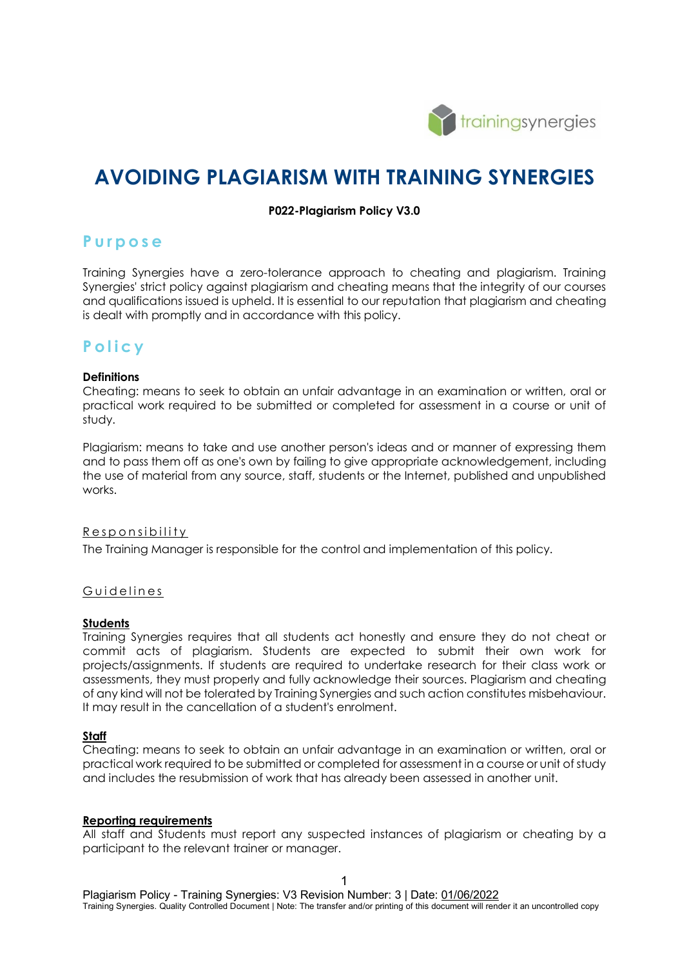

# **AVOIDING PLAGIARISM WITH TRAINING SYNERGIES**

#### **P022-Plagiarism Policy V3.0**

### **Purpose**

Training Synergies have a zero-tolerance approach to cheating and plagiarism. Training Synergies' strict policy against plagiarism and cheating means that the integrity of our courses and qualifications issued is upheld. It is essential to our reputation that plagiarism and cheating is dealt with promptly and in accordance with this policy.

## **Policy**

#### **Definitions**

Cheating: means to seek to obtain an unfair advantage in an examination or written, oral or practical work required to be submitted or completed for assessment in a course or unit of study.

Plagiarism: means to take and use another person's ideas and or manner of expressing them and to pass them off as one's own by failing to give appropriate acknowledgement, including the use of material from any source, staff, students or the Internet, published and unpublished works.

#### Responsibility

The Training Manager is responsible for the control and implementation of this policy.

#### Guidelines

#### **Students**

Training Synergies requires that all students act honestly and ensure they do not cheat or commit acts of plagiarism. Students are expected to submit their own work for projects/assignments. If students are required to undertake research for their class work or assessments, they must properly and fully acknowledge their sources. Plagiarism and cheating of any kind will not be tolerated by Training Synergies and such action constitutes misbehaviour. It may result in the cancellation of a student's enrolment.

#### **Staff**

Cheating: means to seek to obtain an unfair advantage in an examination or written, oral or practical work required to be submitted or completed for assessment in a course or unit of study and includes the resubmission of work that has already been assessed in another unit.

#### **Reporting requirements**

All staff and Students must report any suspected instances of plagiarism or cheating by a participant to the relevant trainer or manager.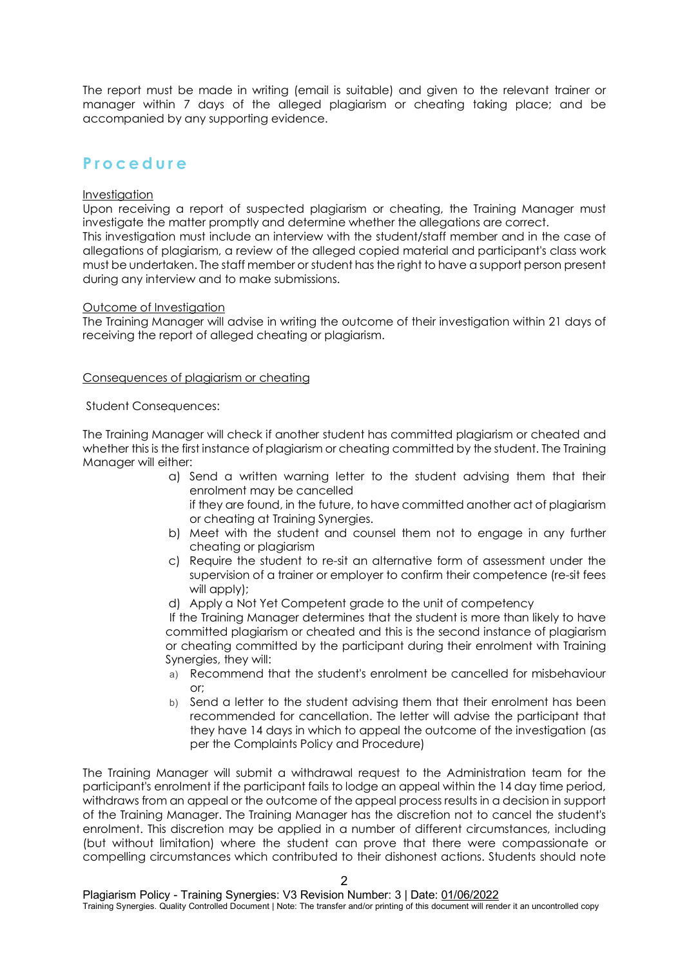The report must be made in writing (email is suitable) and given to the relevant trainer or manager within 7 days of the alleged plagiarism or cheating taking place; and be accompanied by any supporting evidence.

## **Procedure**

#### Investigation

Upon receiving a report of suspected plagiarism or cheating, the Training Manager must investigate the matter promptly and determine whether the allegations are correct.

This investigation must include an interview with the student/staff member and in the case of allegations of plagiarism, a review of the alleged copied material and participant's class work must be undertaken. The staff member or student has the right to have a support person present during any interview and to make submissions.

#### Outcome of Investigation

The Training Manager will advise in writing the outcome of their investigation within 21 days of receiving the report of alleged cheating or plagiarism.

#### Consequences of plagiarism or cheating

#### Student Consequences:

The Training Manager will check if another student has committed plagiarism or cheated and whether this is the first instance of plagiarism or cheating committed by the student. The Training Manager will either:

- a) Send a written warning letter to the student advising them that their enrolment may be cancelled if they are found, in the future, to have committed another act of plagiarism
	- or cheating at Training Synergies.
- b) Meet with the student and counsel them not to engage in any further cheating or plagiarism
- c) Require the student to re-sit an alternative form of assessment under the supervision of a trainer or employer to confirm their competence (re-sit fees will apply);
- d) Apply a Not Yet Competent grade to the unit of competency

If the Training Manager determines that the student is more than likely to have committed plagiarism or cheated and this is the second instance of plagiarism or cheating committed by the participant during their enrolment with Training Synergies, they will:

- a) Recommend that the student's enrolment be cancelled for misbehaviour or;
- b) Send a letter to the student advising them that their enrolment has been recommended for cancellation. The letter will advise the participant that they have 14 days in which to appeal the outcome of the investigation (as per the Complaints Policy and Procedure)

The Training Manager will submit a withdrawal request to the Administration team for the participant's enrolment if the participant fails to lodge an appeal within the 14 day time period, withdraws from an appeal or the outcome of the appeal process results in a decision in support of the Training Manager. The Training Manager has the discretion not to cancel the student's enrolment. This discretion may be applied in a number of different circumstances, including (but without limitation) where the student can prove that there were compassionate or compelling circumstances which contributed to their dishonest actions. Students should note